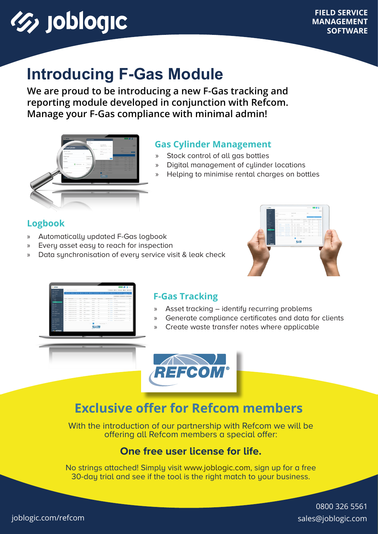# **(5) joblogic**

### **Introducing F-Gas Module**

**We are proud to be introducing a new F-Gas tracking and reporting module developed in conjunction with Refcom. Manage your F-Gas compliance with minimal admin!**



#### **Gas Cylinder Management**

- » Stock control of all gas bottles
- » Digital management of cylinder locations
- » Helping to minimise rental charges on bottles

#### **Logbook**

- » Automatically updated F-Gas logbook
- » Every asset easy to reach for inspection
- Data synchronisation of every service visit & leak check



| <b>ASSAULTS</b>                  |                                                                                   | Lorence, Anni, Lincoln, Bloc, Electric<br>The 1. Administration for automatic |                   |                                         |                          |                          |                  |                    |                                                    |                |
|----------------------------------|-----------------------------------------------------------------------------------|-------------------------------------------------------------------------------|-------------------|-----------------------------------------|--------------------------|--------------------------|------------------|--------------------|----------------------------------------------------|----------------|
| <b>STATISTICS</b>                | Author Ever given Ever Electric Ever Windows Clients Albert Blacket Extends   Man |                                                                               |                   |                                         |                          |                          |                  |                    |                                                    |                |
| $\sim$                           |                                                                                   |                                                                               |                   |                                         |                          |                          |                  |                    |                                                    |                |
| ٠<br>-                           |                                                                                   |                                                                               |                   |                                         |                          |                          |                  |                    | FRIENDRICH ENGINEERT ENGINEERT                     |                |
| ٠<br>. .                         |                                                                                   | Assolute Association                                                          | Tomas.            | <b>Cylinder Russ</b>                    | <b>Britishmen</b>        | <b>Refigeration Tape</b> | Darringly ballow |                    | <b>Bonne</b>                                       | Actual         |
| A DAVA<br>a story                | sales and                                                                         | <b>Suite of favorance</b>                                                     | <b>STATISTICS</b> | <b>Walter</b>                           | <b>CONTRACTOR</b>        | <b>ALCOHOL:</b>          |                  |                    | 194 Aww Roches                                     | b)             |
| <b>Campbell</b>                  | <b>HEAT</b>                                                                       | <b>Smiths AT for survey more</b>                                              | part of           | Arrest States                           | <b>Service</b>           | <b>COL</b>               |                  |                    | 2.50 Starts Bulletin Per analytist (start)         | $\circ$        |
| $\bullet$<br>٠                   | stated.                                                                           | Surface AD for some more.                                                     | <b>Hallan</b>     | <b>Walter</b>                           | <b><i>STATISTICS</i></b> | 15                       |                  |                    | 194 Sara Sinday                                    | $\alpha$       |
| ٠<br>$\sim$                      | <b>HEAT</b>                                                                       | Smith at the setup more.                                                      | part of           | <b>Britain Model</b>                    | <b>STATE</b>             | <b>COL</b>               |                  | <b>APR DIRECT</b>  | to many after research and structure               | $\circ$        |
| ٠<br>$\sim$                      | <b>House</b>                                                                      | home of he peacons.                                                           | <b>HATCH</b>      | <b>STATE</b>                            | state.                   | <b>COL</b>               |                  | <b>SALE CONTRA</b> | <b>Stationary</b>                                  | $\circ$        |
| <b>No member of the American</b> | <b>HOLD</b>                                                                       | Looks to be pear more.                                                        | <b>MARINER</b>    | <b>Ballyary Visionary</b>               | <b>Reduce</b>            | <b>COL</b>               |                  |                    | 2.00 Glants - No data after rendal exhibition      | $\alpha$       |
| <b>B</b> comme                   | <b>Winter</b>                                                                     | Lookie to be selected.                                                        | <b>HELL</b>       | <b>TELEVIS</b>                          | <b>STATE</b>             | $\sim$                   |                  |                    | ties trans trainers                                | $\ddot{\circ}$ |
| <b>BEARS</b> SHOW<br>٠           | <b>SERVICE</b>                                                                    | Southern AP The Service Internet                                              | <b>Hartford</b>   | <b>Benedict Theories</b>                | <b>Burnier</b>           | <b>COL</b>               |                  | <b>STATISTICS</b>  | In the problem in the first state of the set       | $\Delta$       |
|                                  | <b>MARKET</b>                                                                     | Domina Ad for conversions                                                     | <b>CARD CARD</b>  | <b>Wallen</b>                           | <b>LEASEN</b>            | ALC UNK                  |                  | 1.84 Charles       | Telephone:                                         | s              |
|                                  | <b>HEAR</b>                                                                       | Easthea Ad for parties moved.                                                 | part of           | <b>Beneville State</b>                  | <b>Northern</b>          | $\sim$                   |                  |                    | a re- traces  Business after remodel exist cleared | $\Delta$       |
| ٠<br>---                         | <b>HEAT</b>                                                                       | Analysis of the series charge                                                 |                   | <b>Belleville, Belleville, Marietan</b> | <b>Carl State</b>        |                          |                  |                    | 1700 Streets - Exception between the background    | $\circ$        |
| censusce.<br>٠<br>۰              |                                                                                   |                                                                               |                   |                                         |                          |                          |                  |                    |                                                    |                |
|                                  |                                                                                   |                                                                               |                   |                                         | - 1 -<br>$\sim$          | <b>Information F</b>     |                  |                    |                                                    |                |
| ٠                                |                                                                                   |                                                                               |                   |                                         |                          |                          |                  |                    |                                                    |                |
| Of services                      |                                                                                   |                                                                               |                   |                                         | <b>REFCO</b>             |                          |                  |                    |                                                    |                |
|                                  |                                                                                   |                                                                               |                   |                                         |                          |                          |                  |                    |                                                    |                |

#### **F-Gas Tracking**

- » Asset tracking identify recurring problems
- » Generate compliance certificates and data for clients
- » Create waste transfer notes where applicable



### **Exclusive offer for Refcom members**

With the introduction of our partnership with Refcom we will be offering all Refcom members a special offer:

#### **One free user license for life.**

No strings attached! Simply visit [www.joblogic.com](http://www.joblogic.com), sign up for a free 30-day trial and see if the tool is the right match to your business.

> [0800 326 5561](tel: 08003265561) [sales@joblogic.com](mailto:sales%40joblogic.com?subject=)

[joblogic.com/refcom](http://www.joblogic.com/refcom)